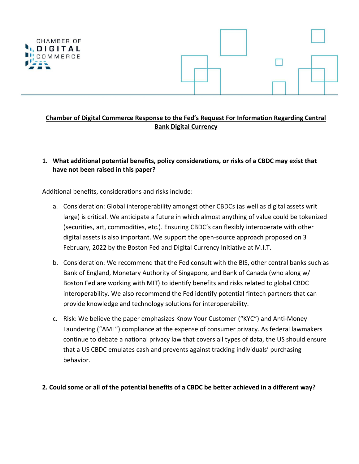

### **Chamber of Digital Commerce Response to the Fed's Request For Information Regarding Central Bank Digital Currency**

### **1. What additional potential benefits, policy considerations, or risks of a CBDC may exist that have not been raised in this paper?**

Additional benefits, considerations and risks include:

- a. Consideration: Global interoperability amongst other CBDCs (as well as digital assets writ large) is critical. We anticipate a future in which almost anything of value could be tokenized (securities, art, commodities, etc.). Ensuring CBDC's can flexibly interoperate with other digital assets is also important. We support the open-source approach proposed on 3 February, 2022 by the Boston Fed and Digital Currency Initiative at M.I.T.
- b. Consideration: We recommend that the Fed consult with the BIS, other central banks such as Bank of England, Monetary Authority of Singapore, and Bank of Canada (who along w/ Boston Fed are working with MIT) to identify benefits and risks related to global CBDC interoperability. We also recommend the Fed identify potential fintech partners that can provide knowledge and technology solutions for interoperability.
- c. Risk: We believe the paper emphasizes Know Your Customer ("KYC") and Anti-Money Laundering ("AML") compliance at the expense of consumer privacy. As federal lawmakers continue to debate a national privacy law that covers all types of data, the US should ensure that a US CBDC emulates cash and prevents against tracking individuals' purchasing behavior.

#### 2. Could some or all of the potential benefits of a CBDC be better achieved in a different way?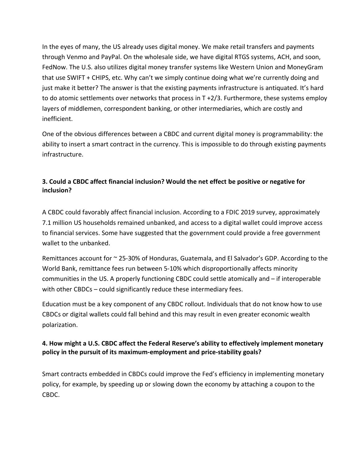In the eyes of many, the US already uses digital money. We make retail transfers and payments through Venmo and PayPal. On the wholesale side, we have digital RTGS systems, ACH, and soon, FedNow. The U.S. also utilizes digital money transfer systems like Western Union and MoneyGram that use SWIFT + CHIPS, etc. Why can't we simply continue doing what we're currently doing and just make it better? The answer is that the existing payments infrastructure is antiquated. It's hard to do atomic settlements over networks that process in  $T + 2/3$ . Furthermore, these systems employ layers of middlemen, correspondent banking, or other intermediaries, which are costly and inefficient.

One of the obvious differences between a CBDC and current digital money is programmability: the ability to insert a smart contract in the currency. This is impossible to do through existing payments infrastructure.

# **3. Could a CBDC affect financial inclusion? Would the net effect be positive or negative for inclusion?**

A CBDC could favorably affect financial inclusion. According to a FDIC 2019 survey, approximately 7.1 million US households remained unbanked, and access to a digital wallet could improve access to financial services. Some have suggested that the government could provide a free government wallet to the unbanked.

Remittances account for ~ 25-30% of Honduras, Guatemala, and El Salvador's GDP. According to the World Bank, remittance fees run between 5-10% which disproportionally affects minority communities in the US. A properly functioning CBDC could settle atomically and – if interoperable with other CBDCs – could significantly reduce these intermediary fees.

Education must be a key component of any CBDC rollout. Individuals that do not know how to use CBDCs or digital wallets could fall behind and this may result in even greater economic wealth polarization.

# **4. How might a U.S. CBDC affect the Federal Reserve's ability to effectively implement monetary policy in the pursuit of its maximum-employment and price-stability goals?**

Smart contracts embedded in CBDCs could improve the Fed's efficiency in implementing monetary policy, for example, by speeding up or slowing down the economy by attaching a coupon to the CBDC.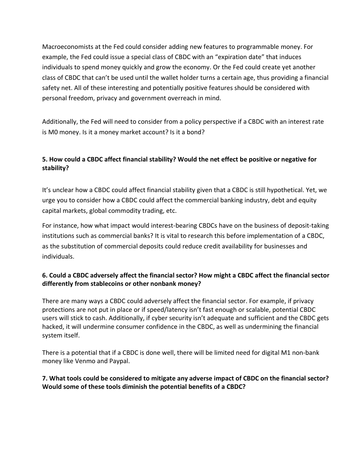Macroeconomists at the Fed could consider adding new features to programmable money. For example, the Fed could issue a special class of CBDC with an "expiration date" that induces individuals to spend money quickly and grow the economy. Or the Fed could create yet another class of CBDC that can't be used until the wallet holder turns a certain age, thus providing a financial safety net. All of these interesting and potentially positive features should be considered with personal freedom, privacy and government overreach in mind.

Additionally, the Fed will need to consider from a policy perspective if a CBDC with an interest rate is M0 money. Is it a money market account? Is it a bond?

# **5. How could a CBDC affect financial stability? Would the net effect be positive or negative for stability?**

It's unclear how a CBDC could affect financial stability given that a CBDC is still hypothetical. Yet, we urge you to consider how a CBDC could affect the commercial banking industry, debt and equity capital markets, global commodity trading, etc.

For instance, how what impact would interest-bearing CBDCs have on the business of deposit-taking institutions such as commercial banks? It is vital to research this before implementation of a CBDC, as the substitution of commercial deposits could reduce credit availability for businesses and individuals.

## **6. Could a CBDC adversely affect the financial sector? How might a CBDC affect the financial sector differently from stablecoins or other nonbank money?**

There are many ways a CBDC could adversely affect the financial sector. For example, if privacy protections are not put in place or if speed/latency isn't fast enough or scalable, potential CBDC users will stick to cash. Additionally, if cyber security isn't adequate and sufficient and the CBDC gets hacked, it will undermine consumer confidence in the CBDC, as well as undermining the financial system itself.

There is a potential that if a CBDC is done well, there will be limited need for digital M1 non-bank money like Venmo and Paypal.

# **7. What tools could be considered to mitigate any adverse impact of CBDC on the financial sector? Would some of these tools diminish the potential benefits of a CBDC?**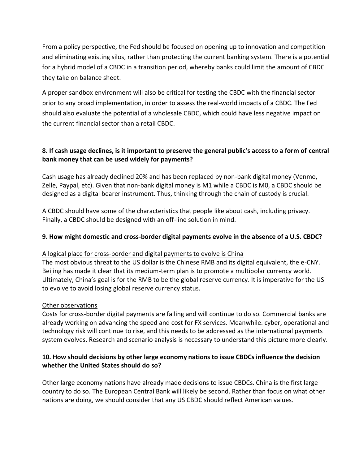From a policy perspective, the Fed should be focused on opening up to innovation and competition and eliminating existing silos, rather than protecting the current banking system. There is a potential for a hybrid model of a CBDC in a transition period, whereby banks could limit the amount of CBDC they take on balance sheet.

A proper sandbox environment will also be critical for testing the CBDC with the financial sector prior to any broad implementation, in order to assess the real-world impacts of a CBDC. The Fed should also evaluate the potential of a wholesale CBDC, which could have less negative impact on the current financial sector than a retail CBDC.

# **8. If cash usage declines, is it important to preserve the general public's access to a form of central bank money that can be used widely for payments?**

Cash usage has already declined 20% and has been replaced by non-bank digital money (Venmo, Zelle, Paypal, etc). Given that non-bank digital money is M1 while a CBDC is M0, a CBDC should be designed as a digital bearer instrument. Thus, thinking through the chain of custody is crucial.

A CBDC should have some of the characteristics that people like about cash, including privacy. Finally, a CBDC should be designed with an off-line solution in mind.

# **9. How might domestic and cross-border digital payments evolve in the absence of a U.S. CBDC?**

### A logical place for cross-border and digital payments to evolve is China

The most obvious threat to the US dollar is the Chinese RMB and its digital equivalent, the e-CNY. Beijing has made it clear that its medium-term plan is to promote a multipolar currency world. Ultimately, China's goal is for the RMB to be the global reserve currency. It is imperative for the US to evolve to avoid losing global reserve currency status.

#### Other observations

Costs for cross-border digital payments are falling and will continue to do so. Commercial banks are already working on advancing the speed and cost for FX services. Meanwhile. cyber, operational and technology risk will continue to rise, and this needs to be addressed as the international payments system evolves. Research and scenario analysis is necessary to understand this picture more clearly.

### **10. How should decisions by other large economy nations to issue CBDCs influence the decision whether the United States should do so?**

Other large economy nations have already made decisions to issue CBDCs. China is the first large country to do so. The European Central Bank will likely be second. Rather than focus on what other nations are doing, we should consider that any US CBDC should reflect American values.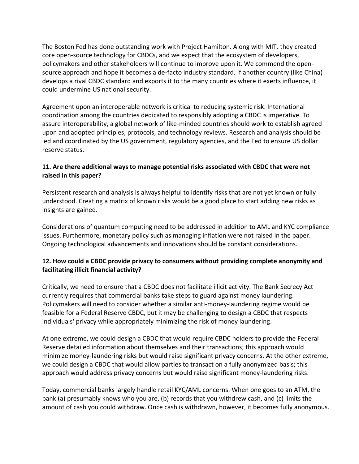The Boston Fed has done outstanding work with Project Hamilton. Along with MIT, they created core open-source technology for CBDCs, and we expect that the ecosystem of developers, policymakers and other stakeholders will continue to improve upon it. We commend the opensource approach and hope it becomes a de-facto industry standard. If another country (like China) develops a rival CBDC standard and exports it to the many countries where it exerts influence, it could undermine US national security.

Agreement upon an interoperable network is critical to reducing systemic risk. International coordination among the countries dedicated to responsibly adopting a CBDC is imperative. To assure interoperability, a global network of like-minded countries should work to establish agreed upon and adopted principles, protocols, and technology reviews. Research and analysis should be led and coordinated by the US government, regulatory agencies, and the Fed to ensure US dollar reserve status.

### **11. Are there additional ways to manage potential risks associated with CBDC that were not raised in this paper?**

Persistent research and analysis is always helpful to identify risks that are not yet known or fully understood. Creating a matrix of known risks would be a good place to start adding new risks as insights are gained.

Considerations of quantum computing need to be addressed in addition to AML and KYC compliance issues. Furthermore, monetary policy such as managing inflation were not raised in the paper. Ongoing technological advancements and innovations should be constant considerations.

## **12. How could a CBDC provide privacy to consumers without providing complete anonymity and facilitating illicit financial activity?**

Critically, we need to ensure that a CBDC does not facilitate illicit activity. The Bank Secrecy Act currently requires that commercial banks take steps to guard against money laundering. Policymakers will need to consider whether a similar anti-money-laundering regime would be feasible for a Federal Reserve CBDC, but it may be challenging to design a CBDC that respects individuals' privacy while appropriately minimizing the risk of money laundering.

At one extreme, we could design a CBDC that would require CBDC holders to provide the Federal Reserve detailed information about themselves and their transactions; this approach would minimize money-laundering risks but would raise significant privacy concerns. At the other extreme, we could design a CBDC that would allow parties to transact on a fully anonymized basis; this approach would address privacy concerns but would raise significant money-laundering risks.

Today, commercial banks largely handle retail KYC/AML concerns. When one goes to an ATM, the bank (a) presumably knows who you are, (b) records that you withdrew cash, and (c) limits the amount of cash you could withdraw. Once cash is withdrawn, however, it becomes fully anonymous.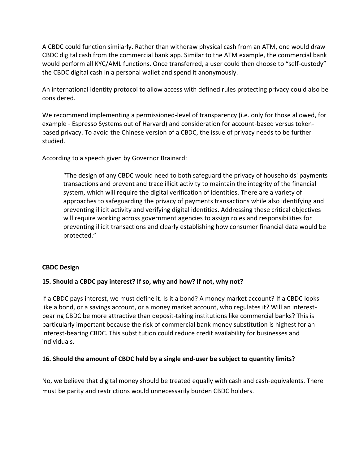A CBDC could function similarly. Rather than withdraw physical cash from an ATM, one would draw CBDC digital cash from the commercial bank app. Similar to the ATM example, the commercial bank would perform all KYC/AML functions. Once transferred, a user could then choose to "self-custody" the CBDC digital cash in a personal wallet and spend it anonymously.

An international identity protocol to allow access with defined rules protecting privacy could also be considered.

We recommend implementing a permissioned-level of transparency (i.e. only for those allowed, for example - Espresso Systems out of Harvard) and consideration for account-based versus tokenbased privacy. To avoid the Chinese version of a CBDC, the issue of privacy needs to be further studied.

According to a speech given by Governor Brainard:

"The design of any CBDC would need to both safeguard the privacy of households' payments transactions and prevent and trace illicit activity to maintain the integrity of the financial system, which will require the digital verification of identities. There are a variety of approaches to safeguarding the privacy of payments transactions while also identifying and preventing illicit activity and verifying digital identities. Addressing these critical objectives will require working across government agencies to assign roles and responsibilities for preventing illicit transactions and clearly establishing how consumer financial data would be protected."

### **CBDC Design**

### **15. Should a CBDC pay interest? If so, why and how? If not, why not?**

If a CBDC pays interest, we must define it. Is it a bond? A money market account? If a CBDC looks like a bond, or a savings account, or a money market account, who regulates it? Will an interestbearing CBDC be more attractive than deposit-taking institutions like commercial banks? This is particularly important because the risk of commercial bank money substitution is highest for an interest-bearing CBDC. This substitution could reduce credit availability for businesses and individuals.

### **16. Should the amount of CBDC held by a single end-user be subject to quantity limits?**

No, we believe that digital money should be treated equally with cash and cash-equivalents. There must be parity and restrictions would unnecessarily burden CBDC holders.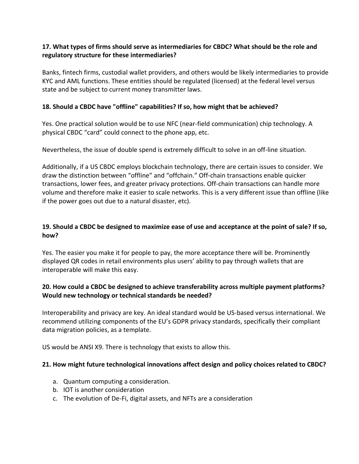### **17. What types of firms should serve as intermediaries for CBDC? What should be the role and regulatory structure for these intermediaries?**

Banks, fintech firms, custodial wallet providers, and others would be likely intermediaries to provide KYC and AML functions. These entities should be regulated (licensed) at the federal level versus state and be subject to current money transmitter laws.

## **18. Should a CBDC have "offline" capabilities? If so, how might that be achieved?**

Yes. One practical solution would be to use NFC (near-field communication) chip technology. A physical CBDC "card" could connect to the phone app, etc.

Nevertheless, the issue of double spend is extremely difficult to solve in an off-line situation.

Additionally, if a US CBDC employs blockchain technology, there are certain issues to consider. We draw the distinction between "offline" and "offchain." Off-chain transactions enable quicker transactions, lower fees, and greater privacy protections. Off-chain transactions can handle more volume and therefore make it easier to scale networks. This is a very different issue than offline (like if the power goes out due to a natural disaster, etc).

## 19. Should a CBDC be designed to maximize ease of use and acceptance at the point of sale? If so, **how?**

Yes. The easier you make it for people to pay, the more acceptance there will be. Prominently displayed QR codes in retail environments plus users' ability to pay through wallets that are interoperable will make this easy.

# **20. How could a CBDC be designed to achieve transferability across multiple payment platforms? Would new technology or technical standards be needed?**

Interoperability and privacy are key. An ideal standard would be US-based versus international. We recommend utilizing components of the EU's GDPR privacy standards, specifically their compliant data migration policies, as a template.

US would be ANSI X9. There is technology that exists to allow this.

### **21. How might future technological innovations affect design and policy choices related to CBDC?**

- a. Quantum computing a consideration.
- b. IOT is another consideration
- c. The evolution of De-Fi, digital assets, and NFTs are a consideration